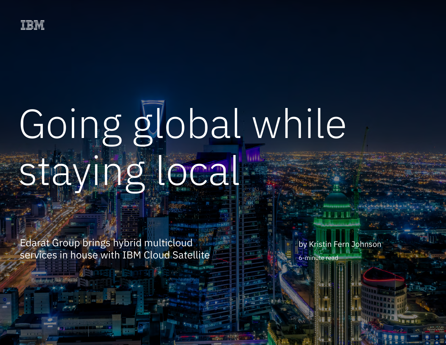# Going global while staying local

Edarat Group brings hybrid multicloud services in house with IBM Cloud Satellite

by Kristin Fern Johnson 6-minute read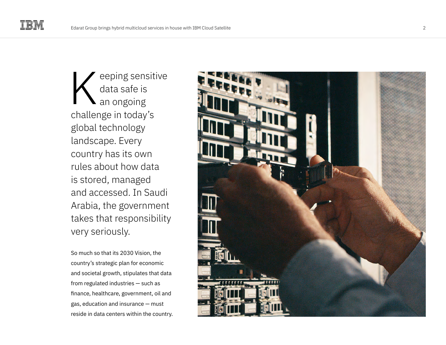eeping sensitive data safe is an ongoing challenge in today's global technology landscape. Every country has its own rules about how data is stored, managed and accessed. In Saudi Arabia, the government takes that responsibility very seriously. reping sensitive<br>data safe is<br>an ongoing<br>challenge in today's<br>global technology<br>landscape. Every<br>country has its own<br>rules about how data<br>is stored, managed<br>and accessed. In Saudi<br>Arabia, the government<br>takes that responsi

So much so that its 2030 Vision, the country's strategic plan for economic and societal growth, stipulates that data from regulated industries — such as finance, healthcare, government, oil and gas, education and insurance — must

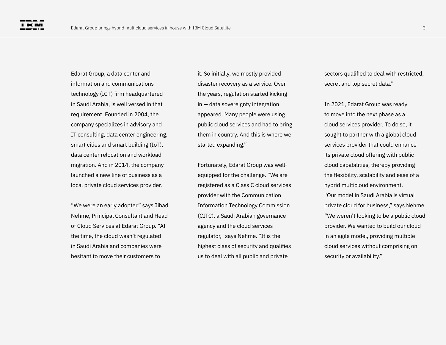Edarat Group, a data center and information and communications technology (ICT) firm headquartered in Saudi Arabia, is well versed in that requirement. Founded in 2004, the company specializes in advisory and IT consulting, data center engineering, smart cities and smart building (IoT), data center relocation and workload migration. And in 2014, the company launched a new line of business as a local private cloud services provider.

"We were an early adopter," says Jihad Nehme, Principal Consultant and Head of Cloud Services at Edarat Group. "At the time, the cloud wasn't regulated in Saudi Arabia and companies were hesitant to move their customers to

it. So initially, we mostly provided disaster recovery as a service. Over the years, regulation started kicking in — data sovereignty integration appeared. Many people were using public cloud services and had to bring them in country. And this is where we started expanding."

Fortunately, Edarat Group was wellequipped for the challenge. "We are registered as a Class C cloud services provider with the Communication Information Technology Commission (CITC), a Saudi Arabian governance agency and the cloud services regulator," says Nehme. "It is the highest class of security and qualifies us to deal with all public and private

sectors qualified to deal with restricted, secret and top secret data."

In 2021, Edarat Group was ready to move into the next phase as a cloud services provider. To do so, it sought to partner with a global cloud services provider that could enhance its private cloud offering with public cloud capabilities, thereby providing the flexibility, scalability and ease of a hybrid multicloud environment. "Our model in Saudi Arabia is virtual private cloud for business," says Nehme. "We weren't looking to be a public cloud provider. We wanted to build our cloud in an agile model, providing multiple cloud services without comprising on security or availability."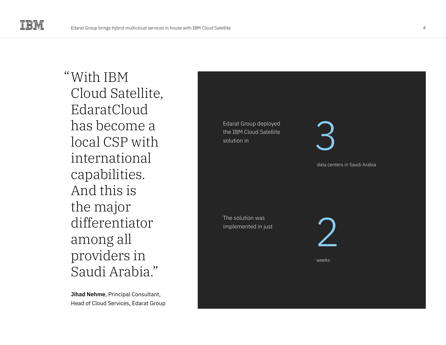With IBM "Cloud Satellite, EdaratCloud has become a local CSP with international capabilities. And this is the major differentiator among all providers in Saudi Arabia."

**Jihad Nehme**, Principal Consultant, Head of Cloud Services, Edarat Group

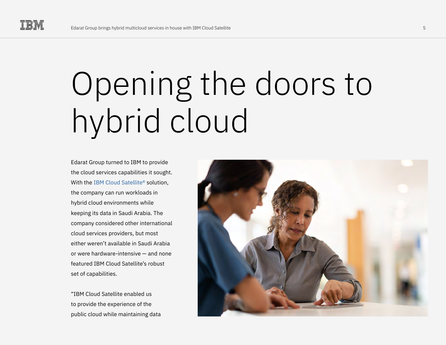## Opening the doors to hybrid cloud

Edarat Group turned to IBM to provide the cloud services capabilities it sought. With the IBM Cloud Satellite<sup>®</sup> solution. the company can run workloads in hybrid cloud environments while keeping its data in Saudi Arabia. The company considered other international cloud services providers, but most either weren't available in Saudi Arabia or were hardware-intensive — and none featured IBM Cloud Satellite's robust set of capabilities.

"IBM Cloud Satellite enabled us to provide the experience of the public cloud while maintaining data

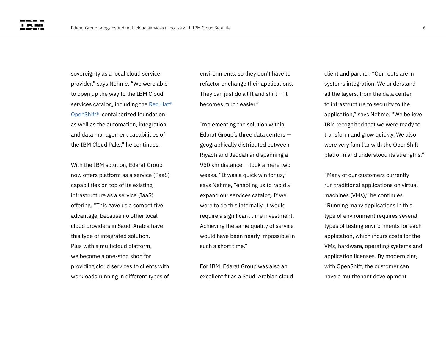sovereignty as a local cloud service provider," says Nehme. "We were able to open up the way to the IBM Cloud services catalog, including the [Red Hat®](https://www.ibm.com/cloud/openshift)  [OpenShift®](https://www.ibm.com/cloud/openshift) containerized foundation, as well as the automation, integration and data management capabilities of the IBM Cloud Paks," he continues.

With the IBM solution, Edarat Group now offers platform as a service (PaaS) capabilities on top of its existing infrastructure as a service (IaaS) offering. "This gave us a competitive advantage, because no other local cloud providers in Saudi Arabia have this type of integrated solution. Plus with a multicloud platform, we become a one-stop shop for providing cloud services to clients with workloads running in different types of environments, so they don't have to refactor or change their applications. They can just do a lift and shift  $-$  it becomes much easier"

Implementing the solution within Edarat Group's three data centers geographically distributed between Riyadh and Jeddah and spanning a 950 km distance — took a mere two weeks. "It was a quick win for us," says Nehme, "enabling us to rapidly expand our services catalog. If we were to do this internally, it would require a significant time investment. Achieving the same quality of service would have been nearly impossible in such a short time."

For IBM, Edarat Group was also an excellent fit as a Saudi Arabian cloud client and partner. "Our roots are in systems integration. We understand all the layers, from the data center to infrastructure to security to the application," says Nehme. "We believe IBM recognized that we were ready to transform and grow quickly. We also were very familiar with the OpenShift platform and understood its strengths."

"Many of our customers currently run traditional applications on virtual machines (VMs)," he continues. "Running many applications in this type of environment requires several types of testing environments for each application, which incurs costs for the VMs, hardware, operating systems and application licenses. By modernizing with OpenShift, the customer can have a multitenant development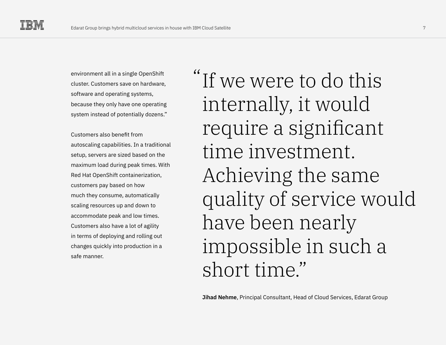environment all in a single OpenShift cluster. Customers save on hardware, software and operating systems, because they only have one operating system instead of potentially dozens."

Customers also benefit from autoscaling capabilities. In a traditional setup, servers are sized based on the maximum load during peak times. With Red Hat OpenShift containerization, customers pay based on how much they consume, automatically scaling resources up and down to accommodate peak and low times. Customers also have a lot of agility in terms of deploying and rolling out changes quickly into production in a safe manner.

"If we were to do this internally, it would require a significant time investment. Achieving the same quality of service would have been nearly impossible in such a short time."

**Jihad Nehme**, Principal Consultant, Head of Cloud Services, Edarat Group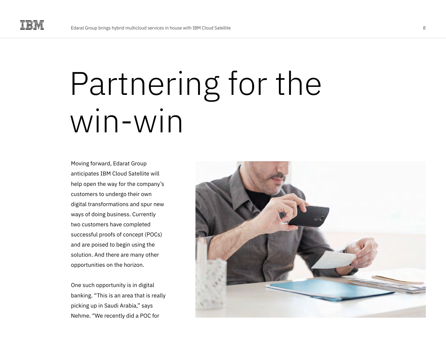### Partnering for the win-win

Moving forward, Edarat Group anticipates IBM Cloud Satellite will help open the way for the company's customers to undergo their own digital transformations and spur new ways of doing business. Currently two customers have completed successful proofs of concept (POCs) and are poised to begin using the solution. And there are many other opportunities on the horizon.

One such opportunity is in digital banking. "This is an area that is really picking up in Saudi Arabia," says Nehme. "We recently did a POC for

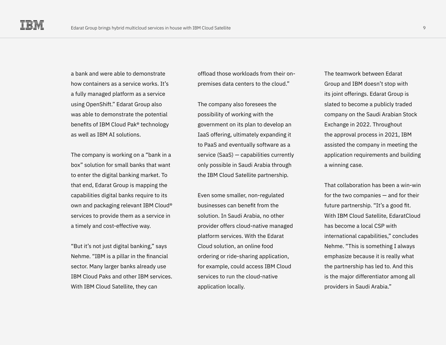a bank and were able to demonstrate how containers as a service works. It's a fully managed platform as a service using OpenShift." Edarat Group also was able to demonstrate the potential benefits of IBM Cloud Pak® technology as well as IBM AI solutions.

The company is working on a "bank in a box" solution for small banks that want to enter the digital banking market. To that end, Edarat Group is mapping the capabilities digital banks require to its own and packaging relevant IBM Cloud® services to provide them as a service in a timely and cost-effective way.

"But it's not just digital banking," says Nehme. "IBM is a pillar in the financial sector. Many larger banks already use IBM Cloud Paks and other IBM services. With IBM Cloud Satellite, they can

offload those workloads from their onpremises data centers to the cloud."

The company also foresees the possibility of working with the government on its plan to develop an IaaS offering, ultimately expanding it to PaaS and eventually software as a service (SaaS) — capabilities currently only possible in Saudi Arabia through the IBM Cloud Satellite partnership.

Even some smaller, non-regulated businesses can benefit from the solution. In Saudi Arabia, no other provider offers cloud-native managed platform services. With the Edarat Cloud solution, an online food ordering or ride-sharing application, for example, could access IBM Cloud services to run the cloud-native application locally.

The teamwork between Edarat Group and IBM doesn't stop with its joint offerings. Edarat Group is slated to become a publicly traded company on the Saudi Arabian Stock Exchange in 2022. Throughout the approval process in 2021, IBM assisted the company in meeting the application requirements and building a winning case.

That collaboration has been a win-win for the two companies — and for their future partnership. "It's a good fit. With IBM Cloud Satellite, EdaratCloud has become a local CSP with international capabilities," concludes Nehme. "This is something I always emphasize because it is really what the partnership has led to. And this is the major differentiator among all providers in Saudi Arabia."